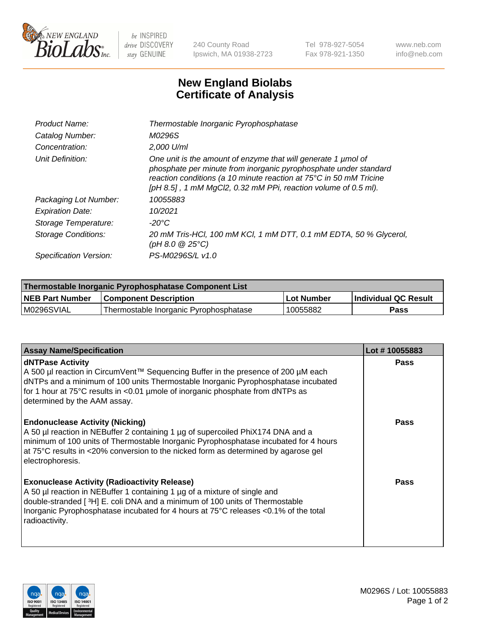

 $be$  INSPIRED drive DISCOVERY stay GENUINE

240 County Road Ipswich, MA 01938-2723 Tel 978-927-5054 Fax 978-921-1350 www.neb.com info@neb.com

## **New England Biolabs Certificate of Analysis**

| Product Name:              | Thermostable Inorganic Pyrophosphatase                                                                                                                                                                                                                                    |
|----------------------------|---------------------------------------------------------------------------------------------------------------------------------------------------------------------------------------------------------------------------------------------------------------------------|
| Catalog Number:            | M0296S                                                                                                                                                                                                                                                                    |
| Concentration:             | $2.000$ U/ml                                                                                                                                                                                                                                                              |
| Unit Definition:           | One unit is the amount of enzyme that will generate 1 µmol of<br>phosphate per minute from inorganic pyrophosphate under standard<br>reaction conditions (a 10 minute reaction at 75°C in 50 mM Tricine<br>[pH 8.5], 1 mM MgCl2, 0.32 mM PPi, reaction volume of 0.5 ml). |
| Packaging Lot Number:      | 10055883                                                                                                                                                                                                                                                                  |
| <b>Expiration Date:</b>    | 10/2021                                                                                                                                                                                                                                                                   |
| Storage Temperature:       | $-20^{\circ}$ C                                                                                                                                                                                                                                                           |
| <b>Storage Conditions:</b> | 20 mM Tris-HCl, 100 mM KCl, 1 mM DTT, 0.1 mM EDTA, 50 % Glycerol,<br>(pH 8.0 $@25°C$ )                                                                                                                                                                                    |
| Specification Version:     | PS-M0296S/L v1.0                                                                                                                                                                                                                                                          |

| Thermostable Inorganic Pyrophosphatase Component List |                                        |              |                      |  |
|-------------------------------------------------------|----------------------------------------|--------------|----------------------|--|
| NEB Part Number                                       | <b>Component Description</b>           | l Lot Number | Individual QC Result |  |
| M0296SVIAL                                            | Thermostable Inorganic Pyrophosphatase | 10055882     | Pass                 |  |

| <b>Assay Name/Specification</b>                                                                                                                                                                                                                                                                                             | Lot #10055883 |
|-----------------------------------------------------------------------------------------------------------------------------------------------------------------------------------------------------------------------------------------------------------------------------------------------------------------------------|---------------|
| <b>dNTPase Activity</b><br>A 500 µl reaction in CircumVent™ Sequencing Buffer in the presence of 200 µM each<br>dNTPs and a minimum of 100 units Thermostable Inorganic Pyrophosphatase incubated<br>for 1 hour at 75°C results in <0.01 µmole of inorganic phosphate from dNTPs as<br>determined by the AAM assay.         | <b>Pass</b>   |
| <b>Endonuclease Activity (Nicking)</b><br>A 50 µl reaction in NEBuffer 2 containing 1 µg of supercoiled PhiX174 DNA and a<br>minimum of 100 units of Thermostable Inorganic Pyrophosphatase incubated for 4 hours<br>at 75°C results in <20% conversion to the nicked form as determined by agarose gel<br>electrophoresis. | <b>Pass</b>   |
| <b>Exonuclease Activity (Radioactivity Release)</b><br>A 50 µl reaction in NEBuffer 1 containing 1 µg of a mixture of single and<br>double-stranded [3H] E. coli DNA and a minimum of 100 units of Thermostable<br>Inorganic Pyrophosphatase incubated for 4 hours at 75°C releases <0.1% of the total<br>radioactivity.    | <b>Pass</b>   |